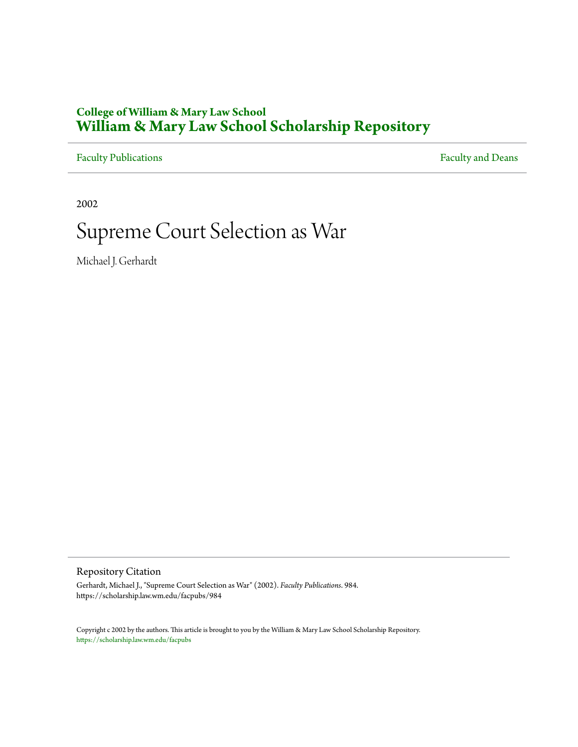## **College of William & Mary Law School [William & Mary Law School Scholarship Repository](https://scholarship.law.wm.edu)**

[Faculty Publications](https://scholarship.law.wm.edu/facpubs) **Faculty** and Deans

2002

# Supreme Court Selection as War

Michael J. Gerhardt

Repository Citation

Gerhardt, Michael J., "Supreme Court Selection as War" (2002). *Faculty Publications*. 984. https://scholarship.law.wm.edu/facpubs/984

Copyright c 2002 by the authors. This article is brought to you by the William & Mary Law School Scholarship Repository. <https://scholarship.law.wm.edu/facpubs>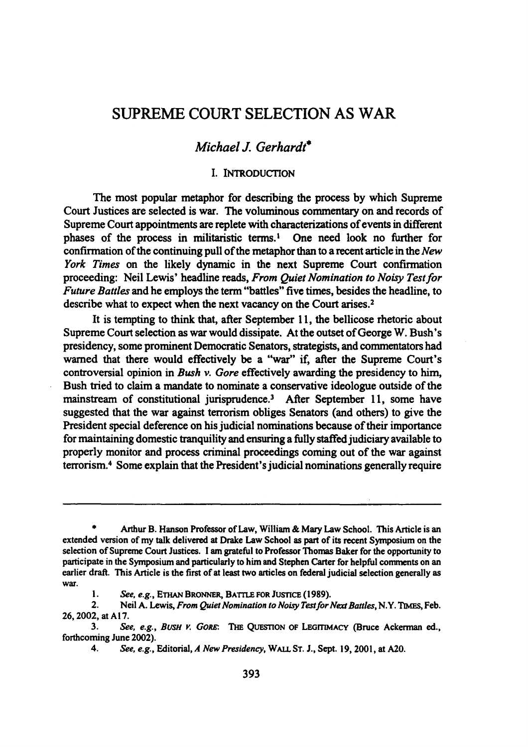# SUPREME COURT SELECTION AS WAR

### *Michael* J. *Gerhardt*

#### I. INTRODUCTION

The most popular metaphor for describing the process by which Supreme Court Justices are selected is war. The voluminous commentary on and records of Supreme Court appointments are replete with characterizations of events in different phases of the process in militaristic terms.<sup>1</sup> One need look no further for confirmation of the continuing pull of the metaphor than to a recent article in the *New York Times* on the likely dynamic in the next Supreme Court confirmation proceeding: Neil Lewis' headline reads, *From Quiet Nomination to Noisy Test for Future Battles* and he employs the term "battles" five times, besides the headline, to describe what to expect when the next vacancy on the Court arises. 2

It is tempting to think that, after September 11, the bellicose rhetoric about Supreme Court selection as war would dissipate. At the outset of George W. Bush's presidency, some prominent Democratic Senators, strategists, and commentators had warned that there would effectively be a ''war" if, after the Supreme Court's controversial opinion in *Bush v. Gore* effectively awarding the presidency to him, Bush tried to claim a mandate to nominate a conservative ideologue outside of the mainstream of constitutional jurisprudence.<sup>3</sup> After September 11, some have suggested that the war against terrorism obliges Senators (and others) to give the President special deference on his judicial nominations because of their importance for maintaining domestic tranquility and ensuring a fully staffed judiciary available to properly monitor and process criminal proceedings coming out of the war against terrorism.<sup>4</sup> Some explain that the President's judicial nominations generally require

<sup>•</sup> Arthur B. Hanson Professor of Law, William & Mary Law School. This Article is an extended version of my talk delivered at Drake Law School as part of its recent Symposium on the selection of Supreme Court Justices. I am grateful to Professor Thomas Baker for the opportunity to participate in the Symposium and particularly to him and Stephen Carter for helpful comments on an earlier draft. This Article is the first of at least two articles on federal judicial selection generally as war.

<sup>1.</sup> *See, e.g.*, ETHAN BRONNER, BATTLE FOR JUSTICE (1989).

<sup>2.</sup> Neil A. Lewis, *From Quiet Nomination to Noisy Test for Next Battles,* N.Y. TIMEs, Feb. 26, 2002, at Al7.

<sup>3.</sup> *See, e.g., BUSHY. GORE:* THE QuESTION OF LEGITIMACY (Bruce Ackerman ed., forthcoming June 2002).

<sup>4.</sup> *See, e.g.,* Editorial, *A New Presidency,* WAU.ST. J., Sept. 19, 2001, at A20.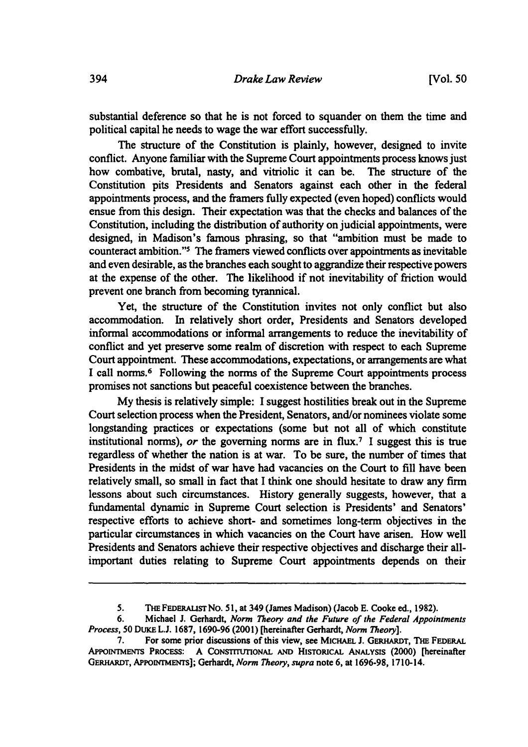substantial deference so that he is not forced to squander on them the time and political capital he needs to wage the war effort successfully.

The structure of the Constitution is plainly, however, designed to invite conflict. Anyone familiar with the Supreme Court appointments process knows just how combative, brutal, nasty, and vitriolic it can be. The structure of the Constitution pits Presidents and Senators against each other in the federal appointments process, and the framers fully expected (even hoped) conflicts would ensue from this design. Their expectation was that the checks and balances of the Constitution, including the distribution of authority on judicial appointments, were designed, in Madison's famous phrasing, so that "ambition must be made to counteract ambition."<sup>5</sup> The framers viewed conflicts over appointments as inevitable and even desirable, as the branches each sought to aggrandize their respective powers at the expense of the other. The likelihood if not inevitability of friction would prevent one branch from becoming tyrannical.

Yet, the structure of the Constitution invites not only conflict but also accommodation. In relatively short order, Presidents and Senators developed informal accommodations or informal arrangements to reduce the inevitability of conflict and yet preserve some realm of discretion with respect to each Supreme Court appointment. These accommodations, expectations, or arrangements are what I call norms.6 Following the norms of the Supreme Court appointments process promises not sanctions but peaceful coexistence between the branches.

My thesis is relatively simple: I suggest hostilities break out in the Supreme Court selection process when the President, Senators, and/or nominees violate some longstanding practices or expectations (some but not all of which constitute institutional norms), *or* the governing norms are in flux.<sup>7</sup> I suggest this is true regardless of whether the nation is at war. To be sure, the number of times that Presidents in the midst of war have had vacancies on the Court to fill have been relatively small, so small in fact that I think one should hesitate to draw any firm lessons about such circumstances. History generally suggests, however, that a fundamental dynamic in Supreme Court selection is Presidents' and Senators' respective efforts to achieve short- and sometimes long-term objectives in the particular circumstances in which vacancies on the Court have arisen. How well Presidents and Senators achieve their respective objectives and discharge their allimportant duties relating to Supreme Court appointments depends on their

*<sup>5.</sup>* THEFEDERAUSTNo. 51, at 349 (James Madison) (Jacob E. Cooke ed., 1982).

<sup>6.</sup> Michael J. Gerhardt, *Norm Theory and the Future of the Federal Appointments Process,* 50 DUKEL.J. 1687, 1690-96 (2001) [hereinafter Gerhardt, *Norm Theory].* 

<sup>7.</sup> For some prior discussions of this view, see MICHAEL J. GERHARDT, THE FEDERAL APPOINTMENTS PROCESS: A CONSTITUTIONAL AND HISTORICAL ANALYSIS (2000) [hereinafter GERHARDT, APPOINTMENTS]; Gerhardt, *Norm Theory, supra* note 6, at 1696-98, 1710-14.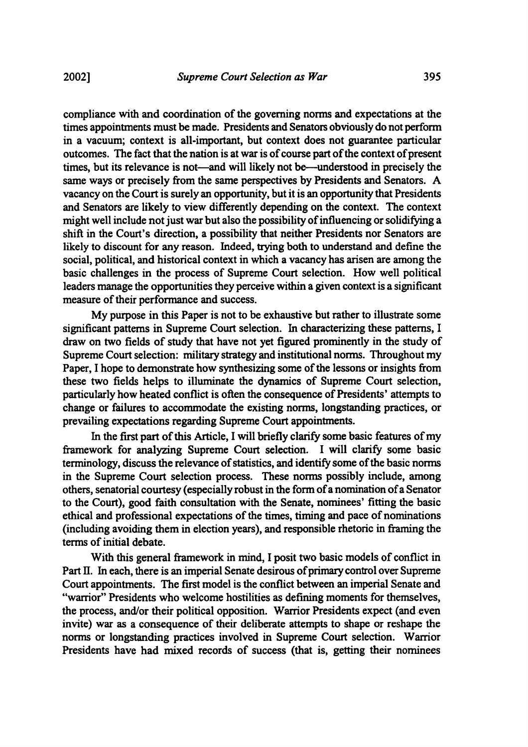compliance with and coordination of the governing norms and expectations at the times appointments must be made. Presidents and Senators obviously do not perform in a vacuum; context is all-important, but context does not guarantee particular outcomes. The fact that the nation is at war is of course part of the context of present times, but its relevance is not—and will likely not be—understood in precisely the same ways or precisely from the same perspectives by Presidents and Senators. A vacancy on the Court is surely an opportunity, but it is an opportunity that Presidents and Senators are likely to view differently depending on the context. The context might well include not just war but also the possibility of influencing or solidifying a shift in the Court's direction, a possibility that neither Presidents nor Senators are likely to discount for any reason. Indeed, trying both to understand and define the social, political, and historical context in which a vacancy has arisen are among the basic challenges in the process of Supreme Court selection. How well political leaders manage the opportunities they perceive within a given context is a significant measure of their performance and success.

My purpose in this Paper is not to be exhaustive but rather to illustrate some significant patterns in Supreme Court selection. In characterizing these patterns, I draw on two fields of study that have not yet figured prominently in the study of Supreme Court selection: military strategy and institutional norms. Throughout my Paper, I hope to demonstrate how synthesizing some of the lessons or insights from these two fields helps to illuminate the dynamics of Supreme Court selection, particularly how heated conflict is often the consequence of Presidents' attempts to change or failures to accommodate the existing norms, longstanding practices, or prevailing expectations regarding Supreme Court appointments.

In the first part of this Article, I will briefly clarify some basic features of my framework for analyzing Supreme Court selection. I will clarify some basic terminology, discuss the relevance of statistics, and identify some of the basic norms in the Supreme Court selection process. These norms possibly include, among others, senatorial courtesy (especially robust in the form of a nomination of a Senator to the Court), good faith consultation with the Senate, nominees' fitting the basic ethical and professional expectations of the times, timing and pace of nominations (including avoiding them in election years), and responsible rhetoric in framing the terms of initial debate.

With this general framework in mind, I posit two basic models of conflict in Part II. In each, there is an imperial Senate desirous of primary control over Supreme Court appointments. The first model is the conflict between an imperial Senate and "warrior" Presidents who welcome hostilities as defining moments for themselves, the process, and/or their political opposition. Warrior Presidents expect (and even invite) war as a consequence of their deliberate attempts to shape or reshape the norms or longstanding practices involved in Supreme Court selection. Warrior Presidents have had mixed records of success (that is, getting their nominees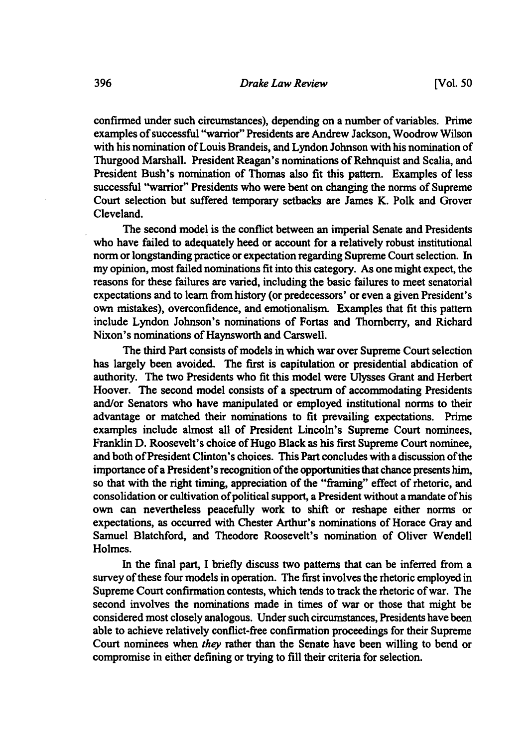confirmed under such circumstances), depending on a number of variables. Prime examples of successful "warrior" Presidents are Andrew Jackson, Woodrow Wilson with his nomination of Louis Brandeis, and Lyndon Johnson with his nomination of Thurgood Marshall. President Reagan's nominations of Rehnquist and Scalia, and President Bush's nomination of Thomas also fit this pattern. Examples of less successful "warrior" Presidents who were bent on changing the norms of Supreme Court selection but suffered temporary setbacks are James K. Polk and Grover Cleveland.

The second model is the conflict between an imperial Senate and Presidents who have failed to adequately heed or account for a relatively robust institutional norm or longstanding practice or expectation regarding Supreme Court selection. In my opinion, most failed nominations fit into this category. As one might expect, the reasons for these failures are varied, including the basic failures to meet senatorial expectations and to learn from history (or predecessors' or even a given President's own mistakes), overconfidence, and emotionalism. Examples that fit this pattern include Lyndon Johnson's nominations of Fortas and Thornberry, and Richard Nixon's nominations of Haynsworth and Carswell.

The third Part consists of models in which war over Supreme Court selection has largely been avoided. The first is capitulation or presidential abdication of authority. The two Presidents who fit this model were Ulysses Grant and Herbert Hoover. The second model consists of a spectrum of accommodating Presidents and/or Senators who have manipulated or employed institutional norms to their advantage or matched their nominations to fit prevailing expectations. Prime examples include almost all of President Lincoln's Supreme Court nominees, Franklin D. Roosevelt's choice of Hugo Black as his first Supreme Court nominee, and both of President Clinton's choices. This Part concludes with a discussion of the importance of a President's recognition of the opportunities that chance presents him, so that with the right timing, appreciation of the "framing" effect of rhetoric, and consolidation or cultivation of political support, a President without a mandate ofhis own can nevertheless peacefully work to shift or reshape either norms or expectations, as occurred with Chester Arthur's nominations of Horace Gray and Samuel Blatchford, and Theodore Roosevelt's nomination of Oliver Wendell Holmes.

In the final part, I briefly discuss two patterns that can be inferred from a survey of these four models in operation. The first involves the rhetoric employed in Supreme Court confirmation contests, which tends to track the rhetoric of war. The second involves the nominations made in times of war or those that might be considered most closely analogous. Under such circumstances, Presidents have been able to achieve relatively conflict-free confirmation proceedings for their Supreme Court nominees when *they* rather than the Senate have been willing to bend or compromise in either defining or trying to fill their criteria for selection.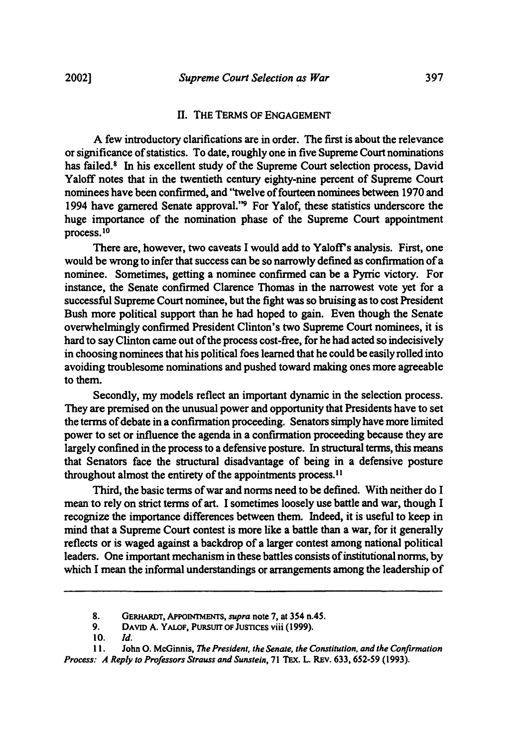#### II. THE TERMS OF ENGAGEMENT

A few introductory clarifications are in order. The first is about the relevance or significance of statistics. To date, roughly one in five Supreme Court nominations has failed.<sup>8</sup> In his excellent study of the Supreme Court selection process, David Yaloff notes that in the twentieth century eighty-nine percent of Supreme Court nominees have been confirmed, and "twelve of fourteen nominees between 1970 and 1994 have garnered Senate approval.''9 For Yalof, these statistics underscore the huge importance of the nomination phase of the Supreme Court appointment process. <sup>10</sup>

There are, however, two caveats I would add to Yaloff's analysis. First, one would be wrong to infer that success can be so narrowly defined as confirmation of a nominee. Sometimes, getting a nominee confirmed can be a Pyrric victory. For instance, the Senate confirmed Clarence Thomas in the narrowest vote yet for a successful Supreme Court nominee, but the fight was so bruising as to cost President Bush more political support than he had hoped to gain. Even though the Senate overwhelmingly confirmed President Clinton's two Supreme Court nominees, it is hard to say Clinton came out of the process cost-free, for he had acted so indecisively in choosing nominees that his political foes learned that he could be easily rolled into avoiding troublesome nominations and pushed toward making ones more agreeable to them.

Secondly, my models reflect an important dynamic in the selection process. They are premised on the unusual power and opportunity that Presidents have to set the terms of debate in a confirmation proceeding. Senators simply have more limited power to set or influence the agenda in a confirmation proceeding because they are largely confined in the process to a defensive posture. In structural terms, this means that Senators face the structural disadvantage of being in a defensive posture throughout almost the entirety of the appointments process. <sup>11</sup>

Third, the basic terms of war and norms need to be defined. With neither do I mean to rely on strict terms of art. I sometimes loosely use battle and war, though I recognize the importance differences between them. Indeed, it is useful to keep in mind that a Supreme Court contest is more like a battle than a war, for it generally reflects or is waged against a backdrop of a larger contest among national political leaders. One important mechanism in these battles consists of institutional norms, by which I mean the informal understandings or arrangements among the leadership of

<sup>8.</sup> GERHARDT, APPOINTMENTS, *supra* note 7, at 354 n.45.

<sup>9.</sup> DAVID A. Y ALOF, PURSUIT OF JUSTICES viii (1999).

 $10.$  *Id.* 

<sup>11.</sup> John 0. McGinnis, *The President, the Senate, the Constitution, and the Confirmation Process: A Reply to Professors Strauss and Sunstein,* 71 TEx. L. REv. 633,652-59 (1993).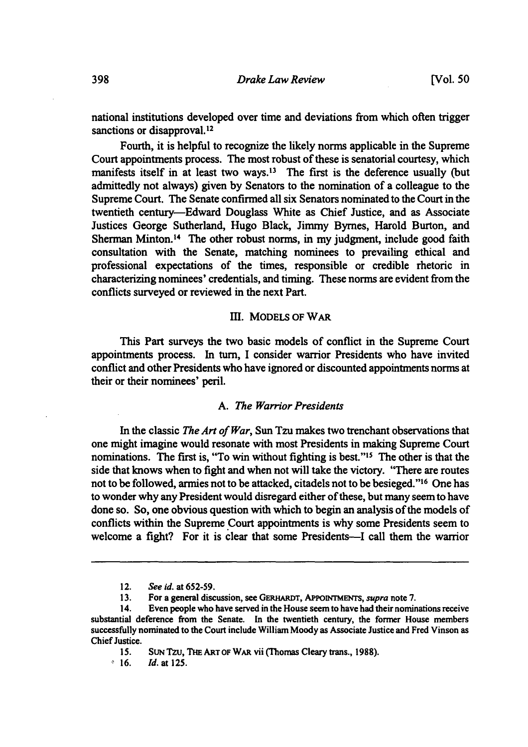national institutions developed over time and deviations from which often trigger sanctions or disapproval.<sup>12</sup>

Fourth, it is helpful to recognize the likely norms applicable in the Supreme Court appointments process. The most robust of these is senatorial courtesy, which manifests itself in at least two ways.<sup>13</sup> The first is the deference usually (but admittedly not always) given by Senators to the nomination of a colleague to the Supreme Court. The Senate confirmed all six Senators nominated to the Court in the twentieth century-Edward Douglass White as Chief Justice, and as Associate Justices George Sutherland, Hugo Black, Jimmy Byrnes, Harold Burton, and Sherman Minton.<sup>14</sup> The other robust norms, in my judgment, include good faith consultation with the Senate, matching nominees to prevailing ethical and professional expectations of the times, responsible or credible rhetoric in characterizing nominees' credentials, and timing. These norms are evident from the conflicts surveyed or reviewed in the next Part.

#### ill. MODELS OF WAR

This Part surveys the two basic models of conflict in the Supreme Court appointments process. In tum, I consider warrior Presidents who have invited conflict and other Presidents who have ignored or discounted appointments norms at their or their nominees' peril.

#### A. *The Warrior Presidents*

In the classic *The Art of War,* Sun Tzu makes two trenchant observations that one might imagine would resonate with most Presidents in making Supreme Court nominations. The first is, "To win without fighting is best."<sup>15</sup> The other is that the side that knows when to fight and when not will take the victory. "There are routes not to be followed, armies not to be attacked, citadels not to be besieged."<sup>16</sup> One has to wonder why any President would disregard either of these, but many seem to have done so. So, one obvious question with which to begin an analysis of the models of conflicts within the Supreme Court appointments is why some Presidents seem to welcome a fight? For it is clear that some Presidents-I call them the warrior

<sup>12.</sup> *See id.* at *652·59.* 

<sup>13.</sup> For a general discussion, see GERHARDT, APPOINTMENTS, *supra* note 7.

<sup>14.</sup> Even people who have served in the House seem to have bad their nominations receive substantial deference from the Senate. In the twentieth century, the former House members successfully nominated to the Court include William Moody as Associate Justice and Fred Vinson as Chief Justice.

<sup>15.</sup> SUN Tzu, THE ART OF WAR vii (Thomas Cleary trans., 1988).

 $0.16.$  *Id.* at 125.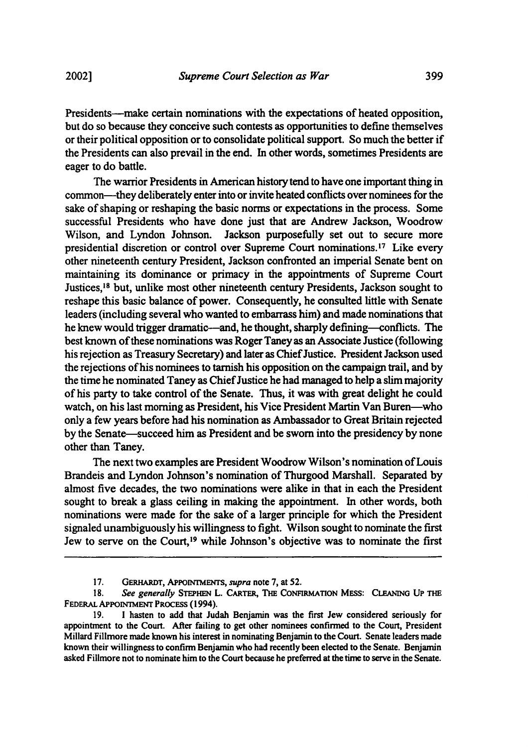Presidents-make certain nominations with the expectations of heated opposition, but do so because they conceive such contests as opportunities to defme themselves or their political opposition or to consolidate political support. So much the better if the Presidents can also prevail in the end. In other words, sometimes Presidents are eager to do battle.

The warrior Presidents in American history tend to have one important thing in common-they deliberately enter into or invite heated conflicts over nominees for the sake of shaping or reshaping the basic norms or expectations in the process. Some successful Presidents who have done just that are Andrew Jackson, Woodrow Wilson, and Lyndon Johnson. Jackson purposefully set out to secure more presidential discretion or control over Supreme Court nominations.<sup>17</sup> Like every other nineteenth century President, Jackson confronted an imperial Senate bent on maintaining its dominance or primacy in the appointments of Supreme Court Justices, 18 but, unlike most other nineteenth century Presidents, Jackson sought to reshape this basic balance of power. Consequently, he consulted little with Senate leaders (including several who wanted to embarrass him) and made nominations that he knew would trigger dramatic-and, he thought, sharply defining-conflicts. The best known of these nominations was Roger Taney as an Associate Justice (following his rejection as Treasury Secretary) and later as Chief Justice. President Jackson used the rejections ofhis nominees to tarnish his opposition on the campaign trail, and by the time he nominated Taney as Chief Justice he had managed to help a slim majority of his party to take control of the Senate. Thus, it was with great delight he could watch, on his last morning as President, his Vice President Martin Van Buren-who only a few years before had his nomination as Ambassador to Great Britain rejected by the Senate-succeed him as President and be sworn into the presidency by none other than Taney.

The next two examples are President Woodrow Wilson's nomination of Louis Brandeis and Lyndon Johnson's nomination of Thurgood Marshall. Separated by almost five decades, the two nominations were alike in that in each the President sought to break a glass ceiling in making the appointment. In other words, both nominations were made for the sake of a larger principle for which the President signaled unambiguously his willingness to fight. Wilson sought to nominate the first Jew to serve on the Court,<sup>19</sup> while Johnson's objective was to nominate the first

<sup>17.</sup> GERHARDT, APPOINTMENTS, *supra* note 7, at 52.

<sup>18.</sup> See generally STEPHEN L. CARTER, THE CONFIRMATION MESS: CLEANING UP THE FEDERAL APPOINTMENT PROCESS (1994).

<sup>19.</sup> I hasten to add that Judah Benjamin was the first Jew considered seriously for appointment to the Court. After failing to get other nominees confirmed to the Court, President Millard Fillmore made known his interest in nominating Benjamin to the Court. Senate leaders made known their willingness to confirm Benjamin who had recently been elected to the Senate. Benjamin asked Fillmore not to nominate him to the Court because he preferred at the time to serve in the Senate.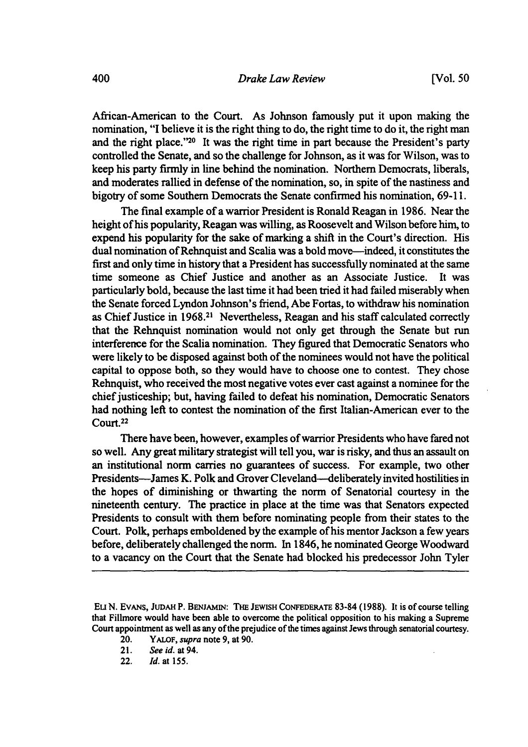African-American to the Court. As Johnson famously put it upon making the nomination, "I believe it is the right thing to do, the right time to do it, the right man and the right place."20 It was the right time in part because the President's party controlled the Senate, and so the challenge for Johnson, as it was for Wilson, was to keep his party firmly in line behind the nomination. Northern Democrats, liberals, and moderates rallied in defense of the nomination, so, in spite of the nastiness and bigotry of some Southern Democrats the Senate conftrmed his nomination, 69-11.

The final example of a warrior President is Ronald Reagan in 1986. Near the height of his popularity, Reagan was willing, as Roosevelt and Wilson before him, to expend his popularity for the sake of marking a shift in the Court's direction. His dual nomination of Rehnquist and Scalia was a bold move—indeed, it constitutes the first and only time in history that a President has successfully nominated at the same time someone as Chief Justice and another as an Associate Justice. It was particularly bold, because the last time it had been tried it had failed miserably when the Senate forced Lyndon Johnson's friend, Abe Fortas, to withdraw his nomination as Chief Justice in 1968.21 Nevertheless, Reagan and his staff calculated correctly that the Rehnquist nomination would not only get through the Senate but run interference for the Scalia nomination. They figured that Democratic Senators who were likely to be disposed against both of the nominees would not have the political capital to oppose both, so they would have to choose one to contest. They chose Rehnquist, who received the most negative votes ever cast against a nominee for the chief justiceship; but, having failed to defeat his nomination, Democratic Senators had nothing left to contest the nomination of the first Italian-American ever to the Court.22

There have been, however, examples of warrior Presidents who have fared not so well. Any great military strategist will tell you, war is risky, and thus an assault on an institutional norm carries no guarantees of success. For example, two other Presidents--James K. Polk and Grover Cleveland--deliberately invited hostilities in the hopes of diminishing or thwarting the norm of Senatorial courtesy in the nineteenth century. The practice in place at the time was that Senators expected Presidents to consult with them before nominating people from their states to the Court. Polk, perhaps emboldened by the example of his mentor Jackson a few years before, deliberately challenged the norm. In 1846, he nominated George Woodward to a vacancy on the Court that the Senate had blocked his predecessor John Tyler

22. *!d.* at 155.

EuN. EVANS, JUDAH P. BENJAMIN: THE JEWISH CONFEDERATE 83-84 (1988). It is of course telling that Fillmore would have been able to overcome the political opposition to his making a Supreme Court appointment as well as any of the prejudice of the times against Jews through senatorial courtesy.

<sup>20.</sup> Y ALOF, *supra* note 9, at 90.

<sup>21.</sup> *See id.* at 94.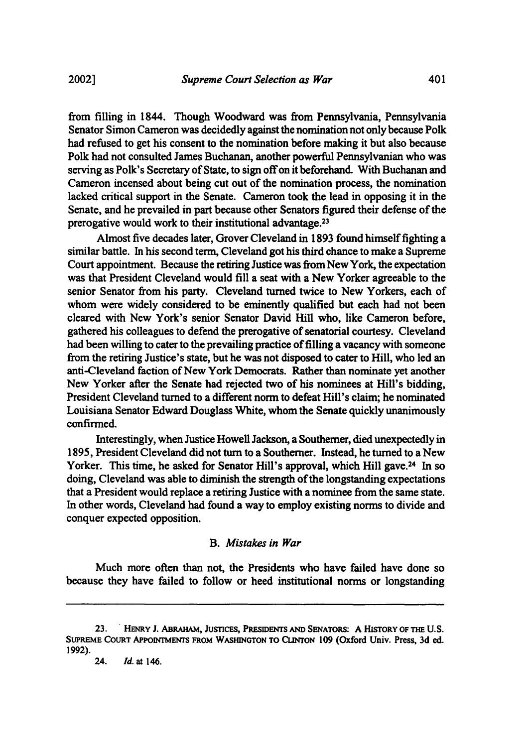from filling in 1844. Though Woodward was from Pennsylvania, Pennsylvania Senator Simon Cameron was decidedly against the nomination not only because Polk had refused to get his consent to the nomination before making it but also because Polk had not consulted James Buchanan, another powerful Pennsylvanian who was serving as Polk's Secretary of State, to sign off on it beforehand. With Buchanan and Cameron incensed about being cut out of the nomination process, the nomination lacked critical support in the Senate. Cameron took the lead in opposing it in the Senate, and he prevailed in part because other Senators figured their defense of the prerogative would work to their institutional advantage.23

Almost five decades later, Grover Cleveland in 1893 found himself fighting a similar battle. In his second term, Cleveland got his third chance to make a Supreme Court appointment. Because the retiring Justice was from New York, the expectation was that President Cleveland would fill a seat with a New Yorker agreeable to the senior Senator from his party. Cleveland turned twice to New Yorkers, each of whom were widely considered to be eminently qualified but each had not been cleared with New York's senior Senator David Hill who, like Cameron before, gathered his colleagues to defend the prerogative of senatorial courtesy. Cleveland had been willing to cater to the prevailing practice of filling a vacancy with someone from the retiring Justice's state, but he was not disposed to cater to Hill, who led an anti-Cleveland faction of New York Democrats. Rather than nominate yet another New Yorker after the Senate had rejected two of his nominees at Hill's bidding, President Cleveland turned to a different norm to defeat Hill's claim; he nominated Louisiana Senator Edward Douglass White, whom the Senate quickly unanimously confirmed.

Interestingly, when Justice Howell Jackson, a Southerner, died unexpectedly in 1895, President Cleveland did not tum to a Southerner. Instead, he turned to a New Yorker. This time, he asked for Senator Hill's approval, which Hill gave.<sup>24</sup> In so doing, Cleveland was able to diminish the strength of the longstanding expectations that a President would replace a retiring Justice with a nominee from the same state. In other words, Cleveland had found a way to employ existing norms to divide and conquer expected opposition.

#### B. *Mistakes in War*

Much more often than not, the Presidents who have failed have done so because they have failed to follow or heed institutional norms or longstanding

<sup>23. .</sup> HENRY J. ABRAHAM, JUSTICES, PRESIDENTS AND SENATORS: A HisTORY OF THE U.S. SUPREME CoURT APPOINTMENTS FROM WASHINGTON TO CUNTON 109 (Oxford Univ. Press, 3d ed. 1992).

<sup>24.</sup> */d.* at 146.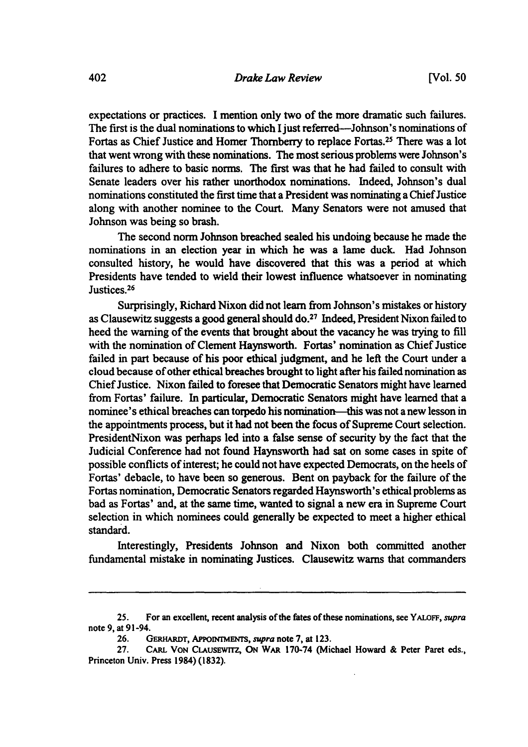expectations or practices. I mention only two of the more dramatic such failures. The first is the dual nominations to which I just referred--Johnson's nominations of Fortas as Chief Justice and Homer Thornberry to replace Fortas.25 There was a lot that went wrong with these nominations. The most serious problems were Johnson's failures to adhere to basic norms. The first was that he had failed to consult with Senate leaders over his rather unorthodox nominations. Indeed, Johnson's dual nominations constituted the first time that a President was nominating a Chief Justice along with another nominee to the Court. Many Senators were not amused that Johnson was being so brash.

The second norm Johnson breached sealed his undoing because he made the nominations in an election year in which he was a lame duck. Had Johnson consulted history, he would have discovered that this was a period at which Presidents have tended to wield their lowest influence whatsoever in nominating Justices.<sup>26</sup>

Surprisingly, Richard Nixon did not learn from Johnson's mistakes or history as Clausewitz suggests a good general should do.<sup>27</sup> Indeed, President Nixon failed to heed the warning of the events that brought about the vacancy he was trying to fill with the nomination of Clement Haynsworth. Fortas' nomination as Chief Justice failed in part because of his poor ethical judgment, and he left the Court under a cloud because of other ethical breaches brought to light after his failed nomination as Chief Justice. Nixon failed to foresee that Democratic Senators might have learned from Fortas' failure. In particular, Democratic Senators might have learned that a nominee's ethical breaches can torpedo his nomination-this was not a new lesson in the appointments process, but it had not been the focus of Supreme Court selection. PresidentNixon was perhaps led into a false sense of security by the fact that the Judicial Conference had not found Haynsworth had sat on some cases in spite of possible conflicts of interest; he could not have expected Democrats, on the heels of Fortas' debacle, to have been so generous. Bent on payback for the failure of the Fortas nomination, Democratic Senators regarded Haynsworth 's ethical problems as bad as Fortas' and, at the same time, wanted to signal a new era in Supreme Court selection in which nominees could generally be expected to meet a higher ethical standard.

Interestingly, Presidents Johnson and Nixon both committed another fundamental mistake in nominating Justices. Clausewitz warns that commanders

<sup>25.</sup> For an excellent, recent analysis of the fates of these nominations, see Y ALOFF, *supra*  note 9, at 91-94.

<sup>26.</sup> GERHARDT, APPoiNfMENTS, *supra* note 7, at 123.

<sup>27.</sup> CARL VoN CLAUSEWITZ, ON WAR 170-74 (Michael Howard & Peter Paret eds., Princeton Univ. Press 1984) (1832).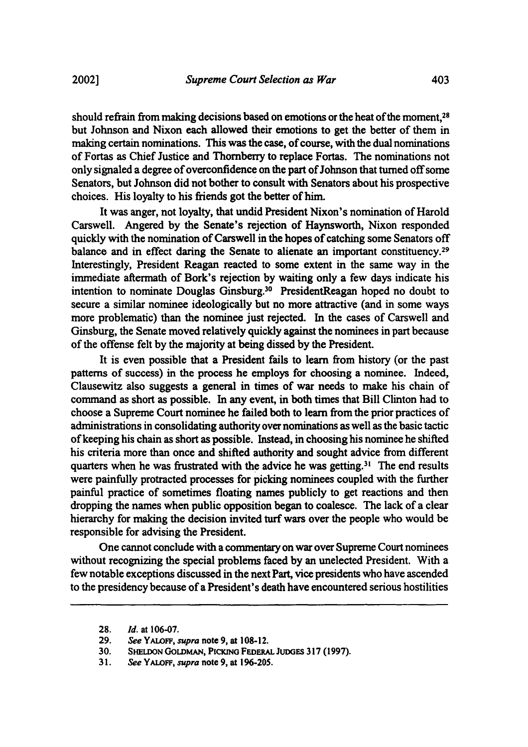should refrain from making decisions based on emotions or the heat of the moment,<sup>28</sup> but Johnson and Nixon each allowed their emotions to get the better of them in making certain nominations. This was the case, of course, with the dual nominations of Fortas as Chief Justice and Thornberry to replace Fortas. The nominations not only signaled a degree of overconfidence on the part of Johnson that turned off some Senators, but Johnson did not bother to consult with Senators about his prospective choices. His loyalty to his friends got the better of him.

It was anger, not loyalty, that undid President Nixon's nomination of Harold Carswell. Angered by the Senate's rejection of Haynsworth, Nixon responded quickly with the nomination of Carswell in the hopes of catching some Senators off balance and in effect daring the Senate to alienate an important constituency.<sup>29</sup> Interestingly, President Reagan reacted to some extent in the same way in the immediate aftermath of Bork's rejection by waiting only a few days indicate his intention to nominate Douglas Ginsburg.30 PresidentReagan hoped no doubt to secure a similar nominee ideologically but no more attractive (and in some ways more problematic) than the nominee just rejected. In the cases of Carswell and Ginsburg, the Senate moved relatively quickly against the nominees in part because of the offense felt by the majority at being dissed by the President.

It is even possible that a President fails to learn from history (or the past patterns of success) in the process he employs for choosing a nominee. Indeed, Clausewitz also suggests a general in times of war needs to make his chain of command as short as possible. In any event, in both times that Bill Clinton had to choose a Supreme Court nominee he failed both to learn from the prior practices of administrations in consolidating authority over nominations as well as the basic tactic of keeping his chain as short as possible. Instead, in choosing his nominee he shifted his criteria more than once and shifted authority and sought advice from different quarters when he was frustrated with the advice he was getting.<sup>31</sup> The end results were painfully protracted processes for picking nominees coupled with the further painful practice of sometimes floating names publicly to get reactions and then dropping the names when public opposition began to coalesce. The lack of a clear hierarchy for making the decision invited turf wars over the people who would be responsible for advising the President.

One cannot conclude with a commentary on war over Supreme Court nominees without recognizing the special problems faced by an unelected President. With a few notable exceptions discussed in the next Part, vice presidents who have ascended to the presidency because of a President's death have encountered serious hostilities

<sup>28.</sup> *Id.* at 106-07.

<sup>29.</sup> *See* YALOFF, *supra* note 9, at 108-12.

SHELDON GOLDMAN, PICKING FEDERAL JUDGES 317 (1997).

<sup>31.</sup> *See* Y ALOFF, *supra* note 9, at 196-205.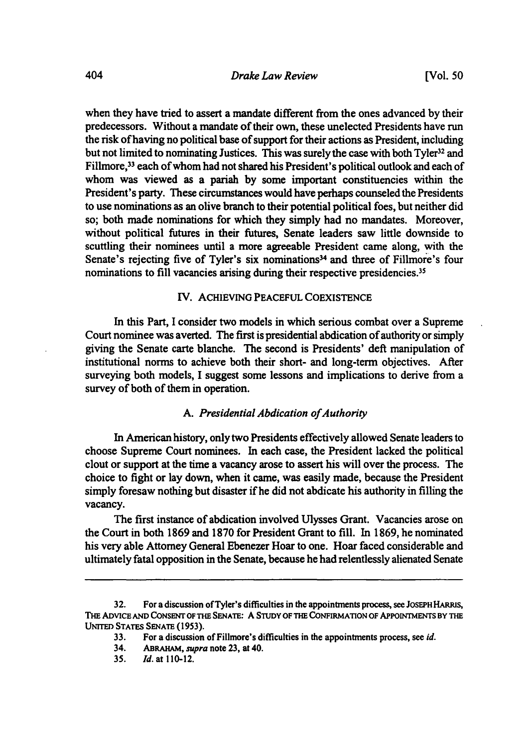when they have tried to assert a mandate different from the ones advanced by their predecessors. Without a mandate of their own, these unelected Presidents have run the risk ofhaving no political base of support for their actions as President, including but not limited to nominating Justices. This was surely the case with both Tyler<sup>32</sup> and Fillmore,<sup>33</sup> each of whom had not shared his President's political outlook and each of whom was viewed as a pariah by some important constituencies within the President's party. These circumstances would have perhaps counseled the Presidents to use nominations as an olive branch to their potential political foes, but neither did so; both made nominations for which they simply had no mandates. Moreover, without political futures in their futures, Senate leaders saw little downside to scuttling their nominees until a more agreeable President came along, with the Senate's rejecting five of Tyler's six nominations<sup>34</sup> and three of Fillmore's four nominations to fill vacancies arising during their respective presidencies.<sup>35</sup>

#### IV. ACHIEVING PEACEFUL COEXISTENCE

In this Part, I consider two models in which serious combat over a Supreme Court nominee was averted. The first is presidential abdication of authority or simply giving the Senate carte blanche. The second is Presidents' deft manipulation of institutional norms to achieve both their short- and long-term objectives. After surveying both models, I suggest some lessons and implications to derive from a survey of both of them in operation.

#### A. *Presidential Abdication of Authority*

In American history, only two Presidents effectively allowed Senate leaders to choose Supreme Court nominees. In each case, the President lacked the political clout or support at the time a vacancy arose to assert his will over the process. The choice to fight or lay down, when it came, was easily made, because the President simply foresaw nothing but disaster if he did not abdicate his authority in filling the vacancy.

The first instance of abdication involved Ulysses Grant. Vacancies arose on the Court in both 1869 and 1870 for President Grant to fill. In 1869, he nominated his very able Attorney General Ebenezer Hoar to one. Hoar faced considerable and ultimately fatal opposition in the Senate, because he had relentlessly alienated Senate

<sup>32.</sup> For a discussion of Tyler's difficulties in the appointments process, see JOSEPH HARRIS, THE ADVICE AND CoNSENT OF THE SENATE: A STUDY OF THE CoNFIRMATION OF APPOINTMENTS BY THE UNITED STATES SENATE (1953).

<sup>33.</sup> For a discussion of Fillmore's difficulties in the appointments process, see *id.* 

<sup>34.</sup> ABRAHAM, *supra* note 23, at 40.

<sup>3</sup>S. Jd. at 110-12.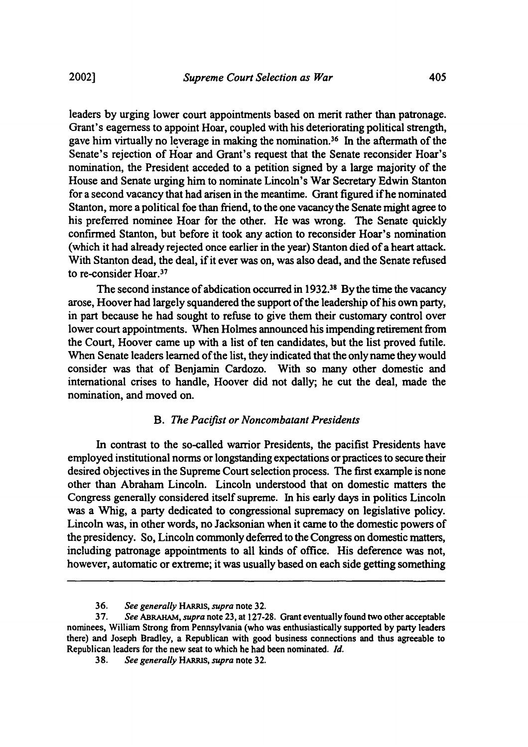leaders by urging lower court appointments based on merit rather than patronage. Grant's eagerness to appoint Hoar, coupled with his deteriorating political strength, gave him virtually no leverage in making the nomination. 36 In the aftermath of the Senate's rejection of Hoar and Grant's request that the Senate reconsider Hoar's nomination, the President acceded to a petition signed by a large majority of the House and Senate urging him to nominate Lincoln's War Secretary Edwin Stanton for a second vacancy that had arisen in the meantime. Grant figured ifhe nominated Stanton, more a political foe than friend, to the one vacancy the Senate might agree to his preferred nominee Hoar for the other. He was wrong. The Senate quickly confirmed Stanton, but before it took any action to reconsider Hoar's nomination (which it had already rejected once earlier in the year) Stanton died of a heart attack. With Stanton dead, the deal, if it ever was on, was also dead, and the Senate refused to re-consider Hoar.37

The second instance of abdication occurred in 1932.<sup>38</sup> By the time the vacancy arose, Hoover had largely squandered the support of the leadership of his own party, in part because he had sought to refuse to give them their customary control over lower court appointments. When Holmes announced his impending retirement from the Court, Hoover came up with a list of ten candidates, but the list proved futile. When Senate leaders learned of the list, they indicated that the only name they would consider was that of Benjamin Cardozo. With so many other domestic and international crises to handle, Hoover did not dally; he cut the deal, made the nomination, and moved on.

#### **B.** *The Pacifist or Noncombatant Presidents*

In contrast to the so-called warrior Presidents, the pacifist Presidents have employed institutional norms or longstanding expectations or practices to secure their desired objectives in the Supreme Court selection process. The first example is none other than Abraham Lincoln. Lincoln understood that on domestic matters the Congress generally considered itself supreme. In his early days in politics Lincoln was a Whig, a party dedicated to congressional supremacy on legislative policy. Lincoln was, in other words, no Jacksonian when it came to the domestic powers of the presidency. So, Lincoln commonly deferred to the Congress on domestic matters, including patronage appointments to all kinds of office. His deference was not, however, automatic or extreme; it was usually based on each side getting something

<sup>36.</sup> *See generally* HARRIS, *supra* note 32.

<sup>3 7.</sup> *See* ABRAHAM, *supra* note 23, at 127-28. Grant eventually found two other acceptable nominees, William Strong from Pennsylvania (who was enthusiastically supported by party leaders there) and Joseph Bradley, a Republican with good business connections and thus agreeable to Republican leaders for the new seat to which he had been nominated. Id.

<sup>38.</sup> *See generally* HARRIS, *supra* note 32.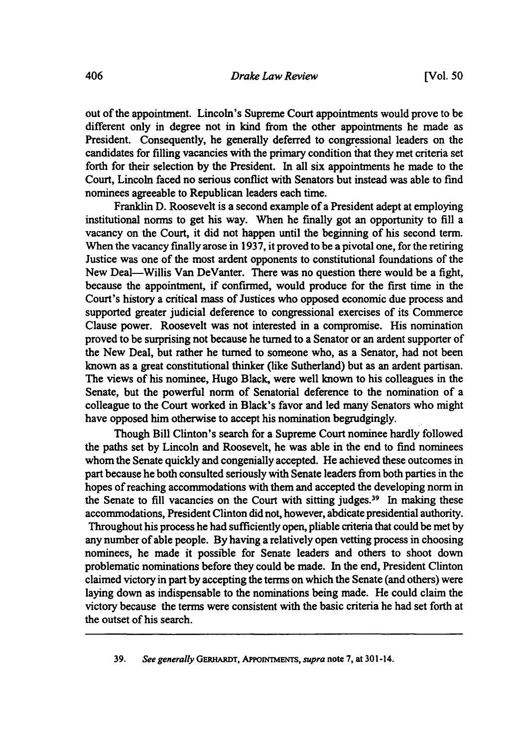out of the appointment. Lincoln's Supreme Court appointments would prove to be different only in degree not in kind from the other appointments he made as President. Consequently, he generally deferred to congressional leaders on the candidates for filling vacancies with the primary condition ihat they met criteria set forth for their selection by the President. In all six appointments he made to the Court, Lincoln faced no serious conflict with Senators but instead was able to fmd nominees agreeable to Republican leaders each time.

Franklin D. Roosevelt is a second example of a President adept at employing institutional norms to get his way. When he fmally got an opportunity to fill a vacancy on the Court, it did not happen until the beginning of his second term. When the vacancy finally arose in 1937, it proved to be a pivotal one, for the retiring Justice was one of the most ardent opponents to constitutional foundations of the New Deal-Willis Van DeVanter. There was no question there would be a fight, because the appointment, if confirmed, would produce for the first time in the Court's history a critical mass of Justices who opposed economic due process and supported greater judicial deference to congressional exercises of its Commerce Clause power. Roosevelt was not interested in a compromise. His nomination proved to be surprising not because he turned to a Senator or an ardent supporter of the New Deal, but rather he turned to someone who, as a Senator, had not been known as a great constitutional thinker (like Sutherland) but as an ardent partisan. The views of his nominee, Hugo Black, were well known to his colleagues in the Senate, but the powerful norm of Senatorial deference to the nomination of a colleague to the Court worked in Black's favor and led many Senators who might have opposed him otherwise to accept his nomination begrudgingly.

Though Bill Clinton's search for a Supreme Court nominee hardly followed the paths set by Lincoln and Roosevelt, he was able in the end to find nominees whom the Senate quickly and congenially accepted. He achieved these outcomes in part because he both consulted seriously with Senate leaders from both parties in the hopes of reaching accommodations with them and accepted the developing norm in the Senate to fill vacancies on the Court with sitting judges.<sup>39</sup> In making these accommodations, President Clinton did not, however, abdicate presidential authority. Throughout his process he had sufficiently open, pliable criteria that could be met by any number of able people. By having a relatively open vetting process in choosing nominees, he made it possible for Senate leaders and others to shoot down problematic nominations before they could be made. In the end, President Clinton claimed victory in part by accepting the terms on which the Senate (and others) were laying down as indispensable to the nominations being made. He could claim the victory because the terms were consistent with the basic criteria he had set forth at the outset of his search.

39. *See generally* GERHARDT, APPoiNTMENTS, *supra* note 7, at 301-14.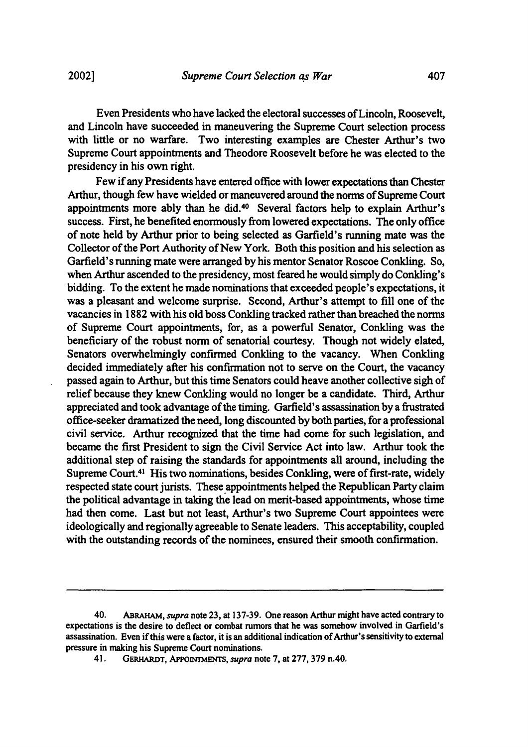Even Presidents who have lacked the electoral successes ofLincoln, Roosevelt, and Lincoln have succeeded in maneuvering the Supreme Court selection process with little or no warfare. Two interesting examples are Chester Arthur's two Supreme Court appointments and Theodore Roosevelt before he was elected to the presidency in his own right.

Few if any Presidents have entered office with lower expectations than Chester Arthur, though few have wielded or maneuvered around the norms of Supreme Court appointments more ably than he did.40 Several factors help to explain Arthur's success. First, he benefited enormously from lowered expectations. The only office of note held by Arthur prior to being selected as Garfield's running mate was the Collector of the Port Authority of New York. Both this position and his selection as Garfield's running mate were arranged by his mentor Senator Roscoe Conkling. So, when Arthur ascended to the presidency, most feared he would simply do Conkling's bidding. To the extent he made nominations that exceeded people's expectations, it was a pleasant and welcome surprise. Second, Arthur's attempt to fill one of the vacancies in 1882 with his old boss Conkling tracked rather than breached the norms of Supreme Court appointments, for, as a powerful Senator, Conkling was the beneficiary of the robust norm of senatorial courtesy. Though not widely elated, Senators overwhelmingly confirmed Conkling to the vacancy. When Conkling decided immediately after his confirmation not to serve on the Court, the vacancy passed again to Arthur, but this time Senators could heave another collective sigh of relief because they knew Conkling would no longer be a candidate. Third, Arthur appreciated and took advantage of the timing. Garfield's assassination by a frustrated office-seeker dramatized the need, long discounted by both parties, for a professional civil service. Arthur recognized that the time had come for such legislation, and became the first President to sign the Civil Service Act into law. Arthur took the additional step of raising the standards for appointments all around, including the Supreme Court.41 His two nominations, besides Conkling, were of first-rate, widely respected state court jurists. These appointments helped the Republican Party claim the political advantage in taking the lead on merit-based appointments, whose time had then come. Last but not least, Arthur's two Supreme Court appointees were ideologically and regionally agreeable to Senate leaders. This acceptability, coupled with the outstanding records of the nominees, ensured their smooth confirmation.

<sup>40.</sup> ABRAHAM, *supra* note 23, at 137-39. One reason Arthur might have acted contrary to expectations is the desire to deflect or combat rumors that he was somehow involved in Garfield's assassination. Even if this were a factor, it is an additional indication of Arthur's sensitivity to external pressure in making his Supreme Court nominations.

<sup>41.</sup> GERHARDT, APPOINTMENTS, *supra* note 7, at 277, 379 n.40.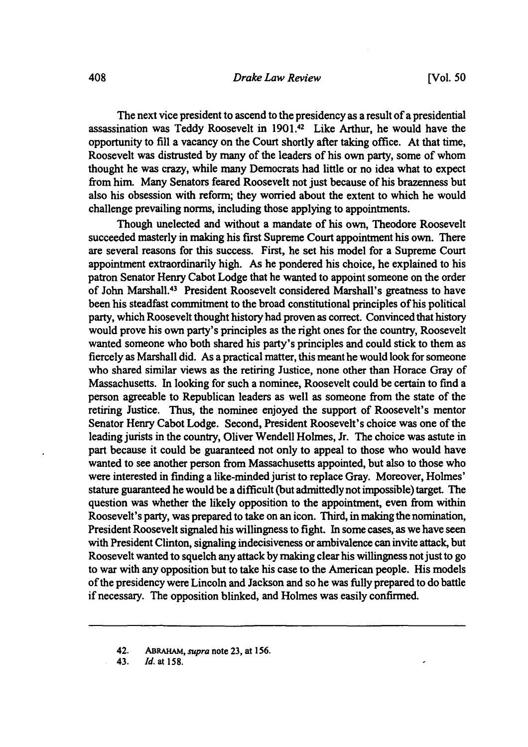The next vice president to ascend to the presidency as a result of a presidential assassination was Teddy Roosevelt in 1901.42 Like Arthur, he would have the opportunity to fill a vacancy on the Court shortly after taking office. At that time, Roosevelt was distrusted by many of the leaders of his own party, some of whom thought he was crazy, while many Democrats had little or no idea what to expect from him. Many Senators feared Roosevelt not just because of his brazenness but also his obsession with reform; they worried about the extent to which he would challenge prevailing norms, including those applying to appointments.

Though unelected and without a mandate of his own, Theodore Roosevelt succeeded masterly in making his first Supreme Court appointment his own. There are several reasons for this success. First, he set his model for a Supreme Court appointment extraordinarily high. As he pondered his choice, he explained to his patron Senator Henry Cabot Lodge that he wanted to appoint someone on the order of John Marshall.43 President Roosevelt considered Marshall's greatness to have been his steadfast commitment to the broad constitutional principles of his political party, which Roosevelt thought history had proven as correct. Convinced that history would prove his own party's principles as the right ones for the country, Roosevelt wanted someone who both shared his party's principles and could stick to them as fiercely as Marshall did. As a practical matter, this meant he would look for someone who shared similar views as the retiring Justice, none other than Horace Gray of Massachusetts. In looking for such a nominee, Roosevelt could be certain to fmd a person agreeable to Republican leaders as well as someone from the state of the retiring Justice. Thus, the nominee enjoyed the support of Roosevelt's mentor Senator Henry Cabot Lodge. Second, President Roosevelt's choice was one of the leading jurists in the country, Oliver Wendell Holmes, Jr. The choice was astute in part because it could be guaranteed not only to appeal to those who would have wanted to see another person from Massachusetts appointed, but also to those who were interested in finding a like-minded jurist to replace Gray. Moreover, Holmes' stature guaranteed he would be a difficult (but admittedly not impossible) target. The question was whether the likely opposition to the appointment, even from within Roosevelt's party, was prepared to take on an icon. Third, in making the nomination, President Roosevelt signaled his willingness to fight. In some cases, as we have seen with President Clinton, signaling indecisiveness or ambivalence can invite attack, but Roosevelt wanted to squelch any attack by making clear his willingness not just to go to war with any opposition but to take his case to the American people. His models of the presidency were Lincoln and Jackson and so he was fully prepared to do battle if necessary. The opposition blinked, and Holmes was easily confirmed.

<sup>42.</sup> ABRAHAM, *supra* note 23, at 156.

<sup>43.</sup> *Id.* at 158.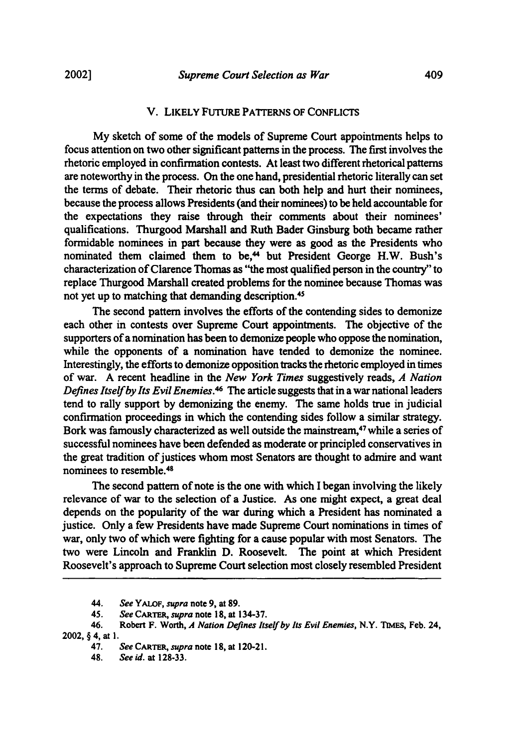#### V. LIKELY FUTURE PATTERNS OF CONFLICTS

My sketch of some of the models of Supreme Court appointments helps to focus attention on two other significant patterns in the process. The first involves the rhetoric employed in confirmation contests. At least two different rhetorical patterns are noteworthy in the process. On the one hand, presidential rhetoric literally can set the terms of debate. Their rhetoric thus can both help and hurt their nominees, because the process allows Presidents (and their nominees) to be held accountable for the expectations they raise through their comments about their nominees' qualifications. Thurgood Marshall and Ruth Bader Ginsburg both became rather formidable nominees in part because they were as good as the Presidents who nominated them claimed them to be,<sup>44</sup> but President George H.W. Bush's characterization of Clarence Thomas as ''the most qualified person in the country'' to replace Thurgood Marshall created problems for the nominee because Thomas was not yet up to matching that demanding description. 45

The second pattern involves the efforts of the contending sides to demonize each other in contests over Supreme Court appointments. The objective of the supporters of a nomination has been to demonize people who oppose the nomination, while the opponents of a nomination have tended to demonize the nominee. Interestingly, the efforts to demonize opposition tracks the rhetoric employed in times of war. A recent headline in the *New York Times* suggestively reads, *A Nation Defines Itself by Its Evil Enemies.46* The article suggests that in a war national leaders tend to rally support by demonizing the enemy. The same holds true in judicial confirmation proceedings in which the contending sides follow a similar strategy. Bork was famously characterized as well outside the mainstream, 47 while a series of successful nominees have been defended as moderate or principled conservatives in the great tradition of justices whom most Senators are thought to admire and want nominees to resemble.4s

The second pattern of note is the one with which I began involving the likely relevance of war to the selection of a Justice. As one might expect, a great deal depends on the popularity of the war during which a President has nominated a justice. Only a few Presidents have made Supreme Court nominations in times of war, only two of which were fighting for a cause popular with most Senators. The two were Lincoln and Franklin D. Roosevelt. The point at which President Roosevelt's approach to Supreme Court selection most closely resembled President

<sup>44.</sup> *See* Y ALOF, *supra* note 9, at 89.

<sup>45.</sup> *See* CARTER, *supra* note 18, at 134-37.

<sup>46.</sup> Robert F. Worth, *A Nation Defines Itself by Its Evil Enemies,* N.Y. TIMEs, Feb. 24, 2002, § 4, at 1.

<sup>47.</sup> *See* CARTER, *supra* note 18, at 120-21.

<sup>48.</sup> *See* id. at 128-33.